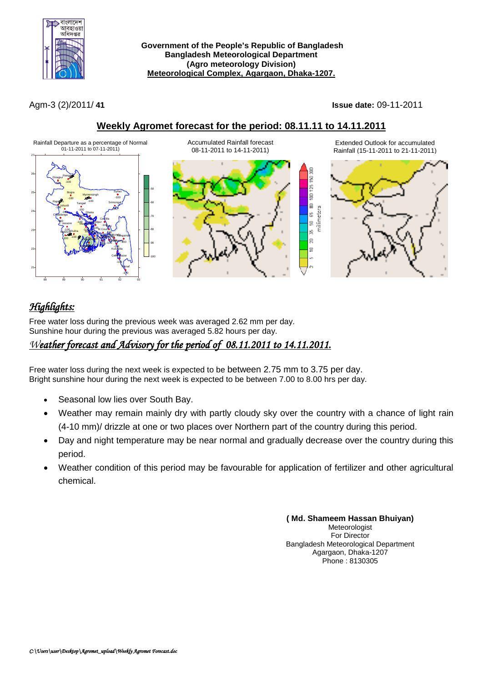

**Government of the People's Republic of Bangladesh Bangladesh Meteorological Department (Agro meteorology Division) Meteorological Complex, Agargaon, Dhaka-1207.**

Agm-3 (2)/2011/ **41 Issue date:** 09-11-2011

### **Weekly Agromet forecast for the period: 08.11.11 to 14.11.2011**



# *Highlights:*

Free water loss during the previous week was averaged 2.62 mm per day. Sunshine hour during the previous was averaged 5.82 hours per day.

## *Weather forecast and Advisory for the period of 08.11.2011 to 14.11.2011.*

Free water loss during the next week is expected to be between 2.75 mm to 3.75 per day. Bright sunshine hour during the next week is expected to be between 7.00 to 8.00 hrs per day.

- Seasonal low lies over South Bay.
- Weather may remain mainly dry with partly cloudy sky over the country with a chance of light rain (4-10 mm)/ drizzle at one or two places over Northern part of the country during this period.
- Day and night temperature may be near normal and gradually decrease over the country during this period.
- Weather condition of this period may be favourable for application of fertilizer and other agricultural chemical.

**( Md. Shameem Hassan Bhuiyan)** Meteorologist For Director Bangladesh Meteorological Department Agargaon, Dhaka-1207 Phone : 8130305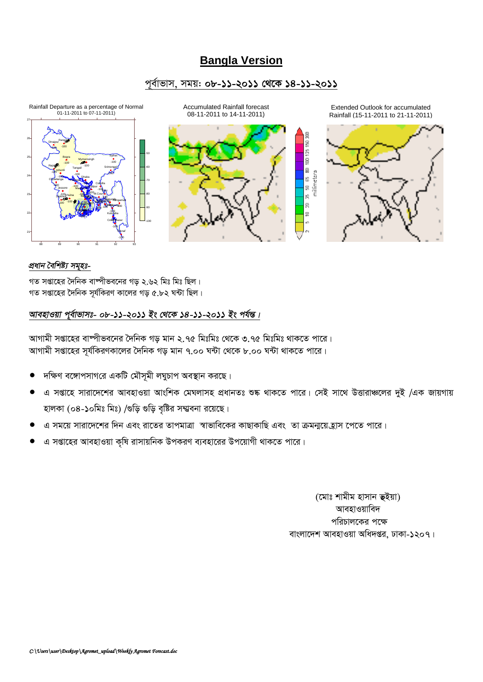# **Bangla Version**

### *c~e©vfvm, mgq: 08-11-2011 †\_‡K 14-11-2011*



#### *প্ৰধান বৈশিষ্ট্য সম্মহঃ-*

গত সপ্তাহের দৈনিক বাম্পীভবনের গড় ২.৬২ মিঃ মিঃ ছিল।  $\eta$ ত সপ্তাহের দৈনিক সূর্যকিরণ কালের গড় ৫.৮২ ঘন্টা ছিল।

### *আবহাওয়া প্*ৰ্বাভাসঃ- ০৮-১১-২০১১ ইং থেকে ১৪-১১-২০১১ ইং পৰ্যন্ত।

আগামী সপ্তাহের বাষ্পীভবনের দৈনিক গড মান ২.৭৫ মিঃমিঃ থেকে ৩.৭৫ মিঃমিঃ থাকতে পারে। আগামী সপ্তাহের সূর্যকিরণকালের দৈনিক গড় মান ৭.০০ ঘন্টা থেকে ৮.০০ ঘন্টা থাকতে পারে।

- *দ*ক্ষিণ বঙ্গোপসাগরে একটি মৌসূমী লঘুচাপ অবস্থান করছে।
- $G$  সপ্তাহে সারাদেশের আবহাওয়া আংশিক মেঘলাসহ প্রধানতঃ শুষ্ক থাকতে পারে। সেই সাথে উত্তারাঞ্চলের দুই /এক জায়গায় হালকা (০৪-১০মিঃ মিঃ) /গুড়ি গুড়ি বৃষ্টির সম্ম্ববনা রয়েছে।
- $\alpha$  সময়ে সারাদেশের দিন এবং রাতের তাপমাত্রা স্বাভাবিকের কাছাকাছি এবং তা ক্রমন্ময়েহ্রাস পেতে পারে।
- *G mßv‡ni AvenvIqv K"wl ivmvqwbK DcKiY e¨env‡ii Dc‡qvMx \_vK‡Z cv‡i|*

*(*মোঃ শামীম হাসান **ভ্**ইয়া) **আবহাওয়াবিদ** পরিচালকের পক্ষে বাংলাদেশ আবহাওয়া অধিদপ্তর, ঢাকা-১২০৭।